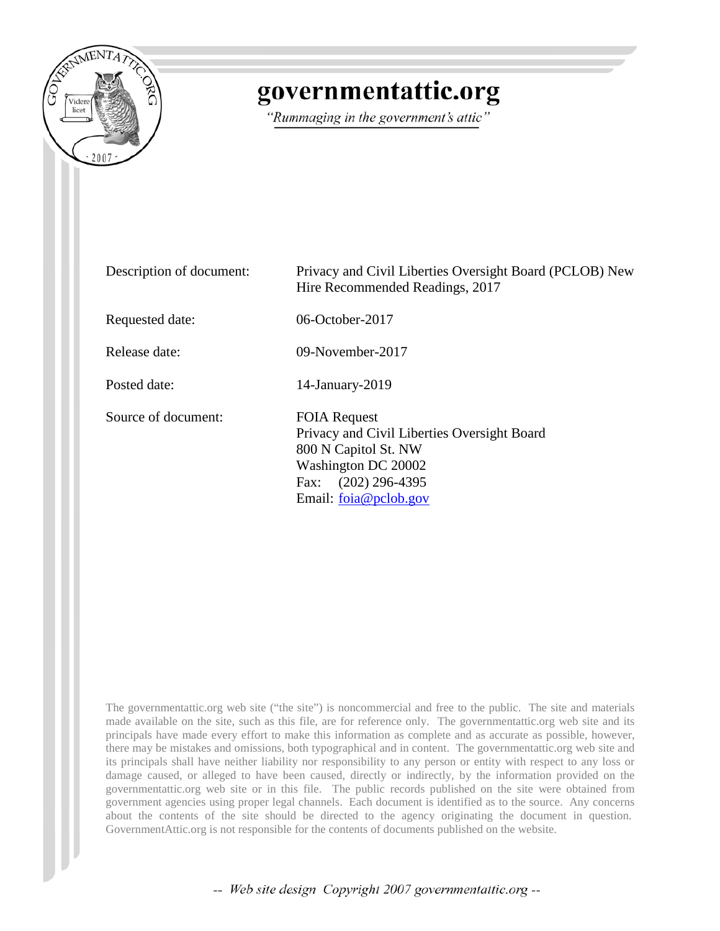

## governmentattic.org

"Rummaging in the government's attic"

| Description of document: | Privacy and Civil Liberties Oversight Board (PCLOB) New<br>Hire Recommended Readings, 2017                                                                        |
|--------------------------|-------------------------------------------------------------------------------------------------------------------------------------------------------------------|
| Requested date:          | 06-October-2017                                                                                                                                                   |
| Release date:            | 09-November-2017                                                                                                                                                  |
| Posted date:             | $14$ -January- $2019$                                                                                                                                             |
| Source of document:      | <b>FOIA Request</b><br>Privacy and Civil Liberties Oversight Board<br>800 N Capitol St. NW<br>Washington DC 20002<br>Fax: (202) 296-4395<br>Email: foia@pclob.gov |

The governmentattic.org web site ("the site") is noncommercial and free to the public. The site and materials made available on the site, such as this file, are for reference only. The governmentattic.org web site and its principals have made every effort to make this information as complete and as accurate as possible, however, there may be mistakes and omissions, both typographical and in content. The governmentattic.org web site and its principals shall have neither liability nor responsibility to any person or entity with respect to any loss or damage caused, or alleged to have been caused, directly or indirectly, by the information provided on the governmentattic.org web site or in this file. The public records published on the site were obtained from government agencies using proper legal channels. Each document is identified as to the source. Any concerns about the contents of the site should be directed to the agency originating the document in question. GovernmentAttic.org is not responsible for the contents of documents published on the website.

-- Web site design Copyright 2007 governmentattic.org --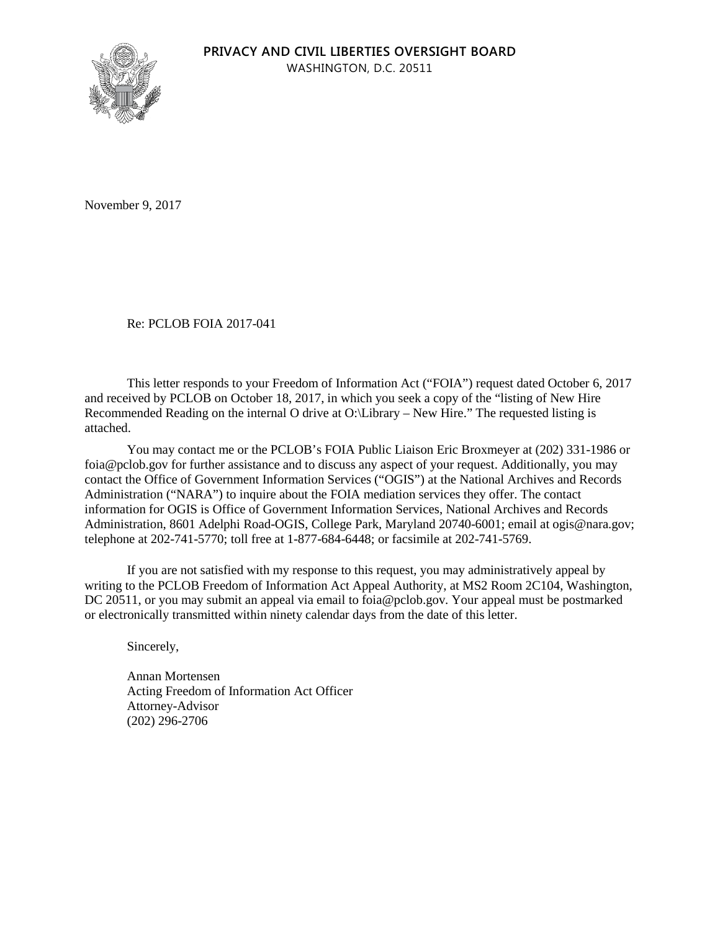

November 9, 2017

Re: PCLOB FOIA 2017-041

This letter responds to your Freedom of Information Act ("FOIA") request dated October 6, 2017 and received by PCLOB on October 18, 2017, in which you seek a copy of the "listing of New Hire Recommended Reading on the internal O drive at O:\Library – New Hire." The requested listing is attached.

You may contact me or the PCLOB's FOIA Public Liaison Eric Broxmeyer at (202) 331-1986 or foia@pclob.gov for further assistance and to discuss any aspect of your request. Additionally, you may contact the Office of Government Information Services ("OGIS") at the National Archives and Records Administration ("NARA") to inquire about the FOIA mediation services they offer. The contact information for OGIS is Office of Government Information Services, National Archives and Records Administration, 8601 Adelphi Road-OGIS, College Park, Maryland 20740-6001; email at ogis@nara.gov; telephone at 202-741-5770; toll free at 1-877-684-6448; or facsimile at 202-741-5769.

If you are not satisfied with my response to this request, you may administratively appeal by writing to the PCLOB Freedom of Information Act Appeal Authority, at MS2 Room 2C104, Washington, DC 20511, or you may submit an appeal via email to foia@pclob.gov. Your appeal must be postmarked or electronically transmitted within ninety calendar days from the date of this letter.

Sincerely,

Annan Mortensen Acting Freedom of Information Act Officer Attorney-Advisor (202) 296-2706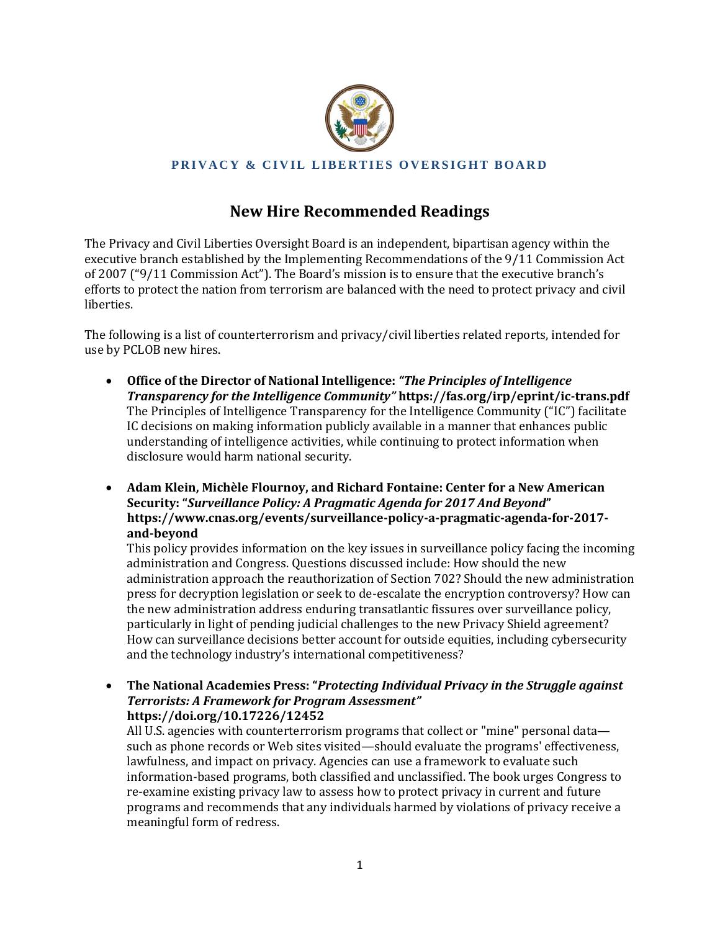

## **PRIVACY & CIVIL LIBERTIES OVERSIGHT BOARD**

## **New Hire Recommended Readings**

The Privacy and Civil Liberties Oversight Board is an independent, bipartisan agency within the executive branch established by the Implementing Recommendations of the 9/11 Commission Act of 2007 ("9/11 Commission Act"). The Board's mission is to ensure that the executive branch's efforts to protect the nation from terrorism are balanced with the need to protect privacy and civil liberties.

The following is a list of counterterrorism and privacy/civil liberties related reports, intended for use by PCLOB new hires.

- **Office of the Director of National Intelligence:** *"The Principles of Intelligence Transparency for the Intelligence Community"* **https://fas.org/irp/eprint/ic-trans.pdf**  The Principles of Intelligence Transparency for the Intelligence Community ("IC") facilitate IC decisions on making information publicly available in a manner that enhances public understanding of intelligence activities, while continuing to protect information when disclosure would harm national security.
- **Adam Klein, Michèle Flournoy, and Richard Fontaine: Center for a New American Security: "***Surveillance Policy: A Pragmatic Agenda for 2017 And Beyond***" https://www.cnas.org/events/surveillance-policy-a-pragmatic-agenda-for-2017 and-beyond**

This policy provides information on the key issues in surveillance policy facing the incoming administration and Congress. Questions discussed include: How should the new administration approach the reauthorization of Section 702? Should the new administration press for decryption legislation or seek to de-escalate the encryption controversy? How can the new administration address enduring transatlantic fissures over surveillance policy, particularly in light of pending judicial challenges to the new Privacy Shield agreement? How can surveillance decisions better account for outside equities, including cybersecurity and the technology industry's international competitiveness?

 **The National Academies Press: "***Protecting Individual Privacy in the Struggle against Terrorists: A Framework for Program Assessment"* **https://doi.org/10.17226/12452**

All U.S. agencies with counterterrorism programs that collect or "mine" personal data such as phone records or Web sites visited—should evaluate the programs' effectiveness, lawfulness, and impact on privacy. Agencies can use a framework to evaluate such information-based programs, both classified and unclassified. The book urges Congress to re-examine existing privacy law to assess how to protect privacy in current and future programs and recommends that any individuals harmed by violations of privacy receive a meaningful form of redress.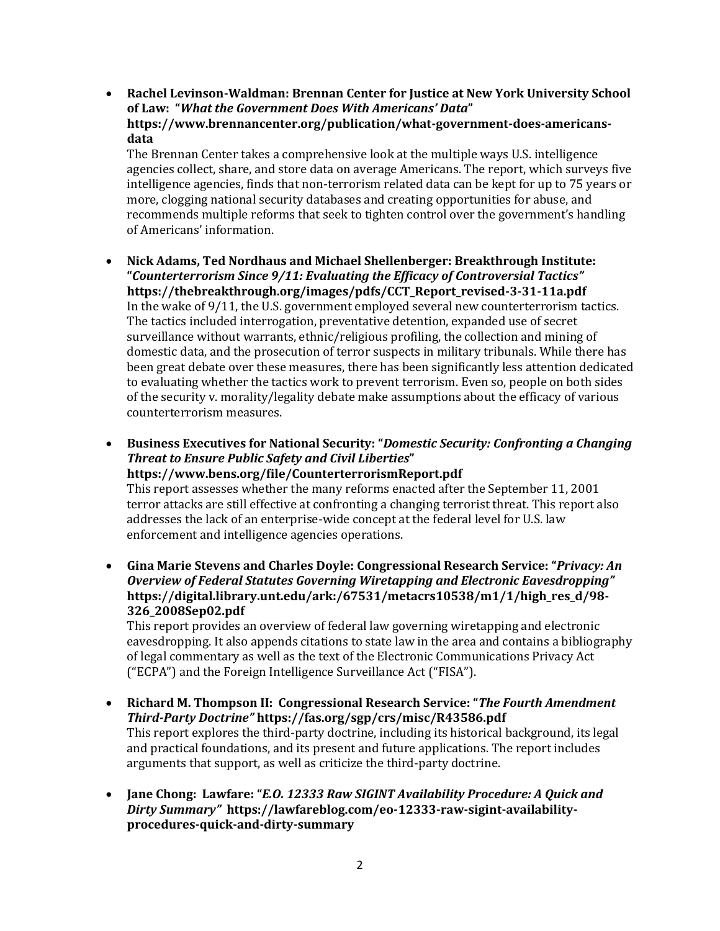**Rachel Levinson-Waldman: Brennan Center for Justice at New York University School of Law: "***What the Government Does With Americans' Data***" https://www.brennancenter.org/publication/what-government-does-americansdata**

The Brennan Center takes a comprehensive look at the multiple ways U.S. intelligence agencies collect, share, and store data on average Americans. The report, which surveys five intelligence agencies, finds that non-terrorism related data can be kept for up to 75 years or more, clogging national security databases and creating opportunities for abuse, and recommends multiple reforms that seek to tighten control over the government's handling of Americans' information.

- **Nick Adams, Ted Nordhaus and Michael Shellenberger: Breakthrough Institute: "***Counterterrorism Since 9/11: Evaluating the Efficacy of Controversial Tactics"* **https://thebreakthrough.org/images/pdfs/CCT\_Report\_revised-3-31-11a.pdf** In the wake of 9/11, the U.S. government employed several new counterterrorism tactics. The tactics included interrogation, preventative detention, expanded use of secret surveillance without warrants, ethnic/religious profiling, the collection and mining of domestic data, and the prosecution of terror suspects in military tribunals. While there has been great debate over these measures, there has been significantly less attention dedicated to evaluating whether the tactics work to prevent terrorism. Even so, people on both sides of the security v. morality/legality debate make assumptions about the efficacy of various counterterrorism measures.
- **Business Executives for National Security: "***Domestic Security: Confronting a Changing Threat to Ensure Public Safety and Civil Liberties***" https://www.bens.org/file/CounterterrorismReport.pdf**

This report assesses whether the many reforms enacted after the September 11, 2001 terror attacks are still effective at confronting a changing terrorist threat. This report also addresses the lack of an enterprise-wide concept at the federal level for U.S. law enforcement and intelligence agencies operations.

 **Gina Marie Stevens and Charles Doyle: Congressional Research Service: "***Privacy: An Overview of Federal Statutes Governing Wiretapping and Electronic Eavesdropping"* **https://digital.library.unt.edu/ark:/67531/metacrs10538/m1/1/high\_res\_d/98- 326\_2008Sep02.pdf**

This report provides an overview of federal law governing wiretapping and electronic eavesdropping. It also appends citations to state law in the area and contains a bibliography of legal commentary as well as the text of the Electronic Communications Privacy Act ("ECPA") and the Foreign Intelligence Surveillance Act ("FISA").

- **Richard M. Thompson II: Congressional Research Service: "***The Fourth Amendment Third-Party Doctrine"* **https://fas.org/sgp/crs/misc/R43586.pdf** This report explores the third-party doctrine, including its historical background, its legal and practical foundations, and its present and future applications. The report includes arguments that support, as well as criticize the third-party doctrine.
- **Jane Chong: Lawfare: "***E.O. 12333 Raw SIGINT Availability Procedure: A Quick and Dirty Summary"* **https://lawfareblog.com/eo-12333-raw-sigint-availabilityprocedures-quick-and-dirty-summary**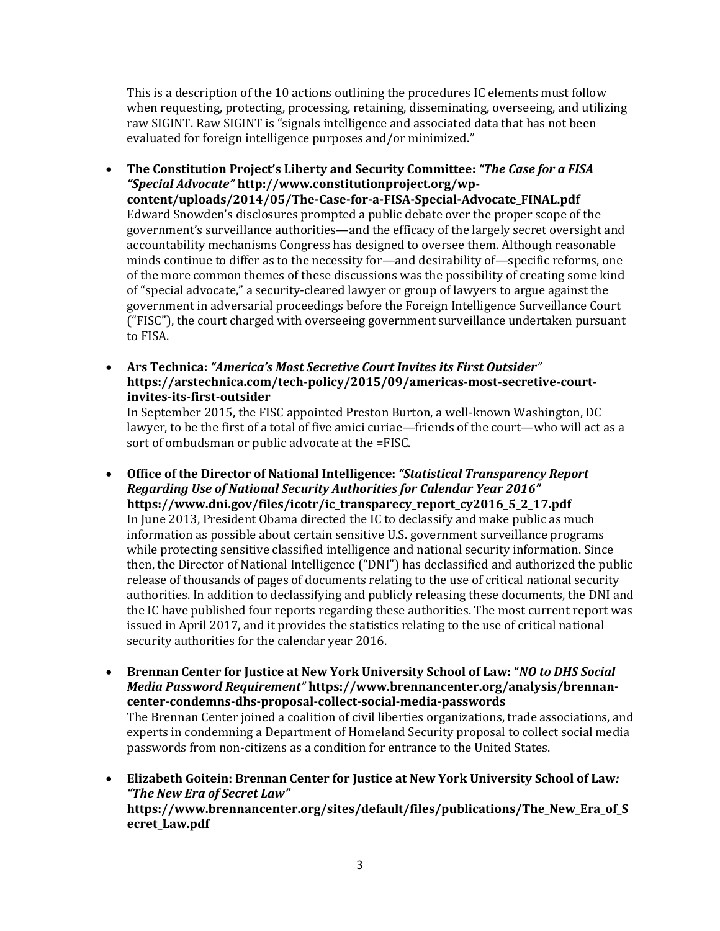This is a description of the 10 actions outlining the procedures IC elements must follow when requesting, protecting, processing, retaining, disseminating, overseeing, and utilizing raw SIGINT. Raw SIGINT is "signals intelligence and associated data that has not been evaluated for foreign intelligence purposes and/or minimized."

- **The Constitution Project's Liberty and Security Committee:** *"The Case for a FISA "Special Advocate"* **http://www.constitutionproject.org/wpcontent/uploads/2014/05/The-Case-for-a-FISA-Special-Advocate\_FINAL.pdf** Edward Snowden's disclosures prompted a public debate over the proper scope of the government's surveillance authorities—and the efficacy of the largely secret oversight and accountability mechanisms Congress has designed to oversee them. Although reasonable minds continue to differ as to the necessity for—and desirability of—specific reforms, one of the more common themes of these discussions was the possibility of creating some kind of "special advocate," a security-cleared lawyer or group of lawyers to argue against the government in adversarial proceedings before the Foreign Intelligence Surveillance Court ("FISC"), the court charged with overseeing government surveillance undertaken pursuant to FISA.
- **Ars Technica:** *"America's Most Secretive Court Invites its First Outsider"* **https://arstechnica.com/tech-policy/2015/09/americas-most-secretive-courtinvites-its-first-outsider**

In September 2015, the FISC appointed Preston Burton, a well-known Washington, DC lawyer, to be the first of a total of five amici curiae—friends of the court—who will act as a sort of ombudsman or public advocate at the =FISC.

- **Office of the Director of National Intelligence:** *"Statistical Transparency Report Regarding Use of National Security Authorities for Calendar Year 2016"* **https://www.dni.gov/files/icotr/ic\_transparecy\_report\_cy2016\_5\_2\_17.pdf** In June 2013, President Obama directed the IC to declassify and make public as much information as possible about certain sensitive U.S. government surveillance programs while protecting sensitive classified intelligence and national security information. Since then, the Director of National Intelligence ("DNI") has declassified and authorized the public release of thousands of pages of documents relating to the use of critical national security authorities. In addition to declassifying and publicly releasing these documents, the DNI and the IC have published four reports regarding these authorities. The most current report was issued in April 2017, and it provides the statistics relating to the use of critical national security authorities for the calendar year 2016.
- **Brennan Center for Justice at New York University School of Law: "***NO to DHS Social Media Password Requirement"* **https://www.brennancenter.org/analysis/brennancenter-condemns-dhs-proposal-collect-social-media-passwords** The Brennan Center joined a coalition of civil liberties organizations, trade associations, and experts in condemning a Department of Homeland Security proposal to collect social media passwords from non-citizens as a condition for entrance to the United States.
- **Elizabeth Goitein: Brennan Center for Justice at New York University School of Law***: "The New Era of Secret Law"*  **https://www.brennancenter.org/sites/default/files/publications/The\_New\_Era\_of\_S ecret\_Law.pdf**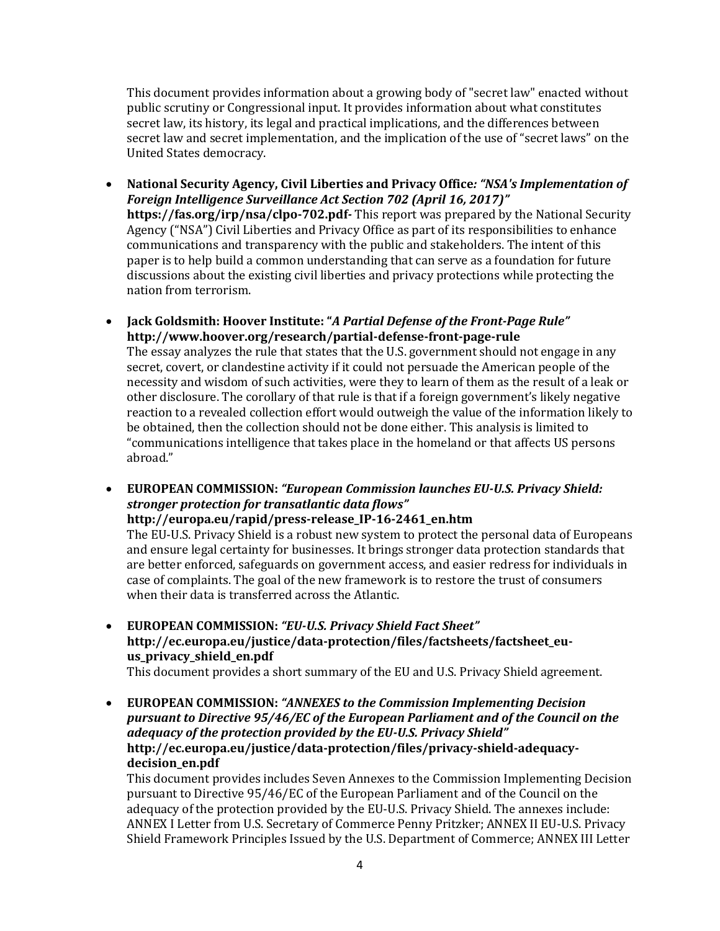This document provides information about a growing body of "secret law" enacted without public scrutiny or Congressional input. It provides information about what constitutes secret law, its history, its legal and practical implications, and the differences between secret law and secret implementation, and the implication of the use of "secret laws" on the United States democracy.

- **National Security Agency, Civil Liberties and Privacy Office***: "NSA's Implementation of Foreign Intelligence Surveillance Act Section 702 (April 16, 2017)"*  **https://fas.org/irp/nsa/clpo-702.pdf***-* This report was prepared by the National Security Agency ("NSA") Civil Liberties and Privacy Office as part of its responsibilities to enhance communications and transparency with the public and stakeholders. The intent of this paper is to help build a common understanding that can serve as a foundation for future discussions about the existing civil liberties and privacy protections while protecting the nation from terrorism.
- **Jack Goldsmith: Hoover Institute: "***A Partial Defense of the Front-Page Rule"* **http://www.hoover.org/research/partial-defense-front-page-rule**

The essay analyzes the rule that states that the U.S. government should not engage in any secret, covert, or clandestine activity if it could not persuade the American people of the necessity and wisdom of such activities, were they to learn of them as the result of a leak or other disclosure. The corollary of that rule is that if a foreign government's likely negative reaction to a revealed collection effort would outweigh the value of the information likely to be obtained, then the collection should not be done either. This analysis is limited to "communications intelligence that takes place in the homeland or that affects US persons abroad."

 **EUROPEAN COMMISSION:** *"European Commission launches EU-U.S. Privacy Shield: stronger protection for transatlantic data flows"*

**http://europa.eu/rapid/press-release\_IP-16-2461\_en.htm** 

The EU-U.S. Privacy Shield is a robust new system to protect the personal data of Europeans and ensure legal certainty for businesses. It brings stronger data protection standards that are better enforced, safeguards on government access, and easier redress for individuals in case of complaints. The goal of the new framework is to restore the trust of consumers when their data is transferred across the Atlantic.

 **EUROPEAN COMMISSION:** *"EU-U.S. Privacy Shield Fact Sheet"* **http://ec.europa.eu/justice/data-protection/files/factsheets/factsheet\_euus\_privacy\_shield\_en.pdf**

This document provides a short summary of the EU and U.S. Privacy Shield agreement.

 **EUROPEAN COMMISSION:** *"ANNEXES to the Commission Implementing Decision pursuant to Directive 95/46/EC of the European Parliament and of the Council on the adequacy of the protection provided by the EU-U.S. Privacy Shield"* **http://ec.europa.eu/justice/data-protection/files/privacy-shield-adequacydecision\_en.pdf**

This document provides includes Seven Annexes to the Commission Implementing Decision pursuant to Directive 95/46/EC of the European Parliament and of the Council on the adequacy of the protection provided by the EU-U.S. Privacy Shield. The annexes include: ANNEX I Letter from U.S. Secretary of Commerce Penny Pritzker; ANNEX II EU-U.S. Privacy Shield Framework Principles Issued by the U.S. Department of Commerce; ANNEX III Letter